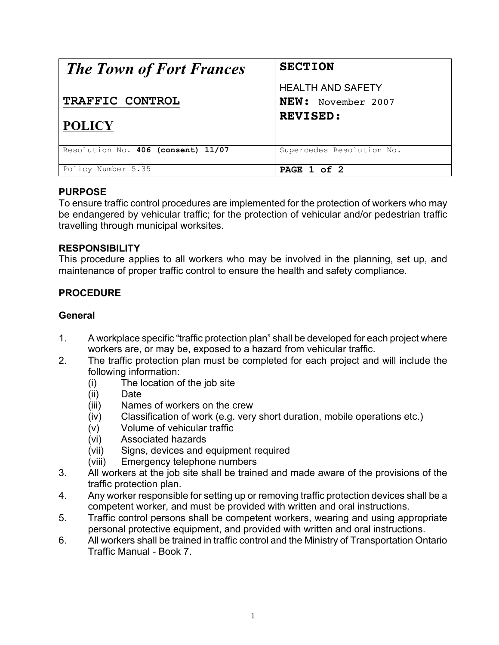| <b>The Town of Fort Frances</b>    | <b>SECTION</b>            |
|------------------------------------|---------------------------|
|                                    | <b>HEALTH AND SAFETY</b>  |
| TRAFFIC CONTROL                    | NEW: November 2007        |
| <b>POLICY</b>                      | <b>REVISED:</b>           |
| Resolution No. 406 (consent) 11/07 | Supercedes Resolution No. |
| Policy Number 5.35                 | PAGE 1 of 2               |

#### **PURPOSE**

To ensure traffic control procedures are implemented for the protection of workers who may be endangered by vehicular traffic; for the protection of vehicular and/or pedestrian traffic travelling through municipal worksites.

## **RESPONSIBILITY**

This procedure applies to all workers who may be involved in the planning, set up, and maintenance of proper traffic control to ensure the health and safety compliance.

# **PROCEDURE**

## **General**

- 1. A workplace specific "traffic protection plan" shall be developed for each project where workers are, or may be, exposed to a hazard from vehicular traffic.
- 2. The traffic protection plan must be completed for each project and will include the following information:
	- (i) The location of the job site
	- (ii) Date
	- (iii) Names of workers on the crew
	- (iv) Classification of work (e.g. very short duration, mobile operations etc.)
	- (v) Volume of vehicular traffic
	- (vi) Associated hazards
	- (vii) Signs, devices and equipment required
	- (viii) Emergency telephone numbers
- 3. All workers at the job site shall be trained and made aware of the provisions of the traffic protection plan.
- 4. Any worker responsible for setting up or removing traffic protection devices shall be a competent worker, and must be provided with written and oral instructions.
- 5. Traffic control persons shall be competent workers, wearing and using appropriate personal protective equipment, and provided with written and oral instructions.
- 6. All workers shall be trained in traffic control and the Ministry of Transportation Ontario Traffic Manual - Book 7.